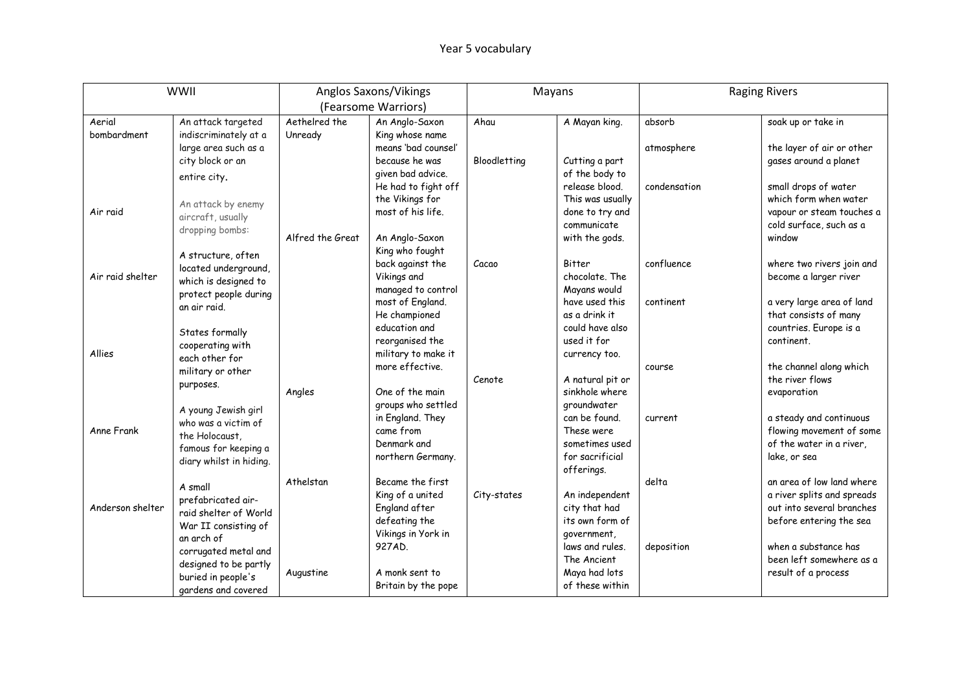|                  | <b>WWII</b>                                 |                  | Anglos Saxons/Vikings             | Mayans       |                  | <b>Raging Rivers</b> |                                   |
|------------------|---------------------------------------------|------------------|-----------------------------------|--------------|------------------|----------------------|-----------------------------------|
|                  |                                             |                  | (Fearsome Warriors)               |              |                  |                      |                                   |
| Aerial           | An attack targeted                          | Aethelred the    | An Anglo-Saxon                    | Ahau         | A Mayan king.    | absorb               | soak up or take in                |
| bombardment      | indiscriminately at a                       | Unready          | King whose name                   |              |                  |                      |                                   |
|                  | large area such as a                        |                  | means 'bad counsel'               |              |                  | atmosphere           | the layer of air or other         |
|                  | city block or an                            |                  | because he was                    | Bloodletting | Cutting a part   |                      | gases around a planet             |
|                  | entire city.                                |                  | given bad advice.                 |              | of the body to   |                      |                                   |
|                  |                                             |                  | He had to fight off               |              | release blood.   | condensation         | small drops of water              |
|                  | An attack by enemy                          |                  | the Vikings for                   |              | This was usually |                      | which form when water             |
| Air raid         | aircraft, usually                           |                  | most of his life.                 |              | done to try and  |                      | vapour or steam touches a         |
|                  | dropping bombs:                             | Alfred the Great |                                   |              | communicate      |                      | cold surface, such as a<br>window |
|                  |                                             |                  | An Anglo-Saxon<br>King who fought |              | with the gods.   |                      |                                   |
|                  | A structure, often                          |                  | back against the                  | Cacao        | Bitter           | confluence           | where two rivers join and         |
| Air raid shelter | located underground,                        |                  | Vikings and                       |              | chocolate. The   |                      | become a larger river             |
|                  | which is designed to                        |                  | managed to control                |              | Mayans would     |                      |                                   |
|                  | protect people during                       |                  | most of England.                  |              | have used this   | continent            | a very large area of land         |
|                  | an air raid.                                |                  | He championed                     |              | as a drink it    |                      | that consists of many             |
|                  | States formally                             |                  | education and                     |              | could have also  |                      | countries. Europe is a            |
|                  | cooperating with                            |                  | reorganised the                   |              | used it for      |                      | continent.                        |
| Allies           | each other for                              |                  | military to make it               |              | currency too.    |                      |                                   |
|                  | military or other                           |                  | more effective.                   |              |                  | course               | the channel along which           |
|                  | purposes.                                   |                  |                                   | Cenote       | A natural pit or |                      | the river flows                   |
|                  |                                             | Angles           | One of the main                   |              | sinkhole where   |                      | evaporation                       |
|                  | A young Jewish girl                         |                  | groups who settled                |              | groundwater      |                      |                                   |
|                  | who was a victim of                         |                  | in England. They                  |              | can be found.    | current              | a steady and continuous           |
| Anne Frank       | the Holocaust.                              |                  | came from                         |              | These were       |                      | flowing movement of some          |
|                  | famous for keeping a                        |                  | Denmark and                       |              | sometimes used   |                      | of the water in a river,          |
|                  | diary whilst in hiding.                     |                  | northern Germany.                 |              | for sacrificial  |                      | lake, or sea                      |
|                  |                                             | Athelstan        | Became the first                  |              | offerings.       | delta                | an area of low land where         |
|                  | A small                                     |                  | King of a united                  | City-states  | An independent   |                      | a river splits and spreads        |
| Anderson shelter | prefabricated air-                          |                  | England after                     |              | city that had    |                      | out into several branches         |
|                  | raid shelter of World                       |                  | defeating the                     |              | its own form of  |                      | before entering the sea           |
|                  | War II consisting of                        |                  | Vikings in York in                |              | government,      |                      |                                   |
|                  | an arch of                                  |                  | 927AD.                            |              | laws and rules.  | deposition           | when a substance has              |
|                  | corrugated metal and                        |                  |                                   |              | The Ancient      |                      | been left somewhere as a          |
|                  | designed to be partly<br>buried in people's | Augustine        | A monk sent to                    |              | Maya had lots    |                      | result of a process               |
|                  | gardens and covered                         |                  | Britain by the pope               |              | of these within  |                      |                                   |
|                  |                                             |                  |                                   |              |                  |                      |                                   |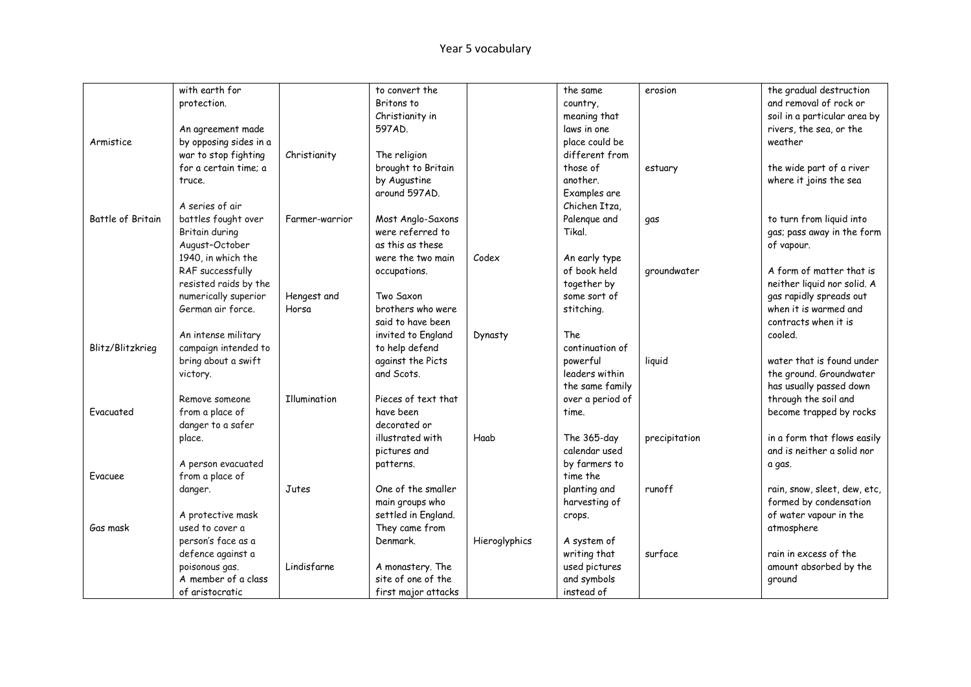|                   | with earth for         |                | to convert the      |               | the same         | erosion       | the gradual destruction      |
|-------------------|------------------------|----------------|---------------------|---------------|------------------|---------------|------------------------------|
|                   | protection.            |                | Britons to          |               | country,         |               | and removal of rock or       |
|                   |                        |                | Christianity in     |               | meaning that     |               | soil in a particular area by |
|                   | An agreement made      |                | 597AD.              |               | laws in one      |               | rivers, the sea, or the      |
| Armistice         | by opposing sides in a |                |                     |               | place could be   |               | weather                      |
|                   | war to stop fighting   | Christianity   | The religion        |               | different from   |               |                              |
|                   | for a certain time; a  |                | brought to Britain  |               | those of         | estuary       | the wide part of a river     |
|                   | truce.                 |                | by Augustine        |               | another.         |               | where it joins the sea       |
|                   |                        |                | around 597AD.       |               | Examples are     |               |                              |
|                   | A series of air        |                |                     |               | Chichen Itza.    |               |                              |
| Battle of Britain | battles fought over    | Farmer-warrior | Most Anglo-Saxons   |               | Palenque and     | qas           | to turn from liquid into     |
|                   | Britain during         |                | were referred to    |               | Tikal.           |               | gas; pass away in the form   |
|                   | August-October         |                | as this as these    |               |                  |               | of vapour.                   |
|                   | 1940, in which the     |                | were the two main   | Codex         | An early type    |               |                              |
|                   | RAF successfully       |                | occupations.        |               | of book held     | groundwater   | A form of matter that is     |
|                   | resisted raids by the  |                |                     |               | together by      |               | neither liquid nor solid. A  |
|                   | numerically superior   | Hengest and    | Two Saxon           |               | some sort of     |               | gas rapidly spreads out      |
|                   | German air force.      | Horsa          | brothers who were   |               | stitching.       |               | when it is warmed and        |
|                   |                        |                | said to have been   |               |                  |               | contracts when it is         |
|                   | An intense military    |                | invited to England  | Dynasty       | The              |               | cooled.                      |
| Blitz/Blitzkrieg  | campaign intended to   |                | to help defend      |               | continuation of  |               |                              |
|                   | bring about a swift    |                | against the Picts   |               | powerful         | liquid        | water that is found under    |
|                   | victory.               |                | and Scots.          |               | leaders within   |               | the ground. Groundwater      |
|                   |                        |                |                     |               | the same family  |               | has usually passed down      |
|                   | Remove someone         | Illumination   | Pieces of text that |               | over a period of |               | through the soil and         |
| Evacuated         | from a place of        |                | have been           |               | time.            |               | become trapped by rocks      |
|                   | danger to a safer      |                | decorated or        |               |                  |               |                              |
|                   | place.                 |                | illustrated with    | Haab          | The 365-day      | precipitation | in a form that flows easily  |
|                   |                        |                | pictures and        |               | calendar used    |               | and is neither a solid nor   |
|                   | A person evacuated     |                | patterns.           |               | by farmers to    |               | a gas.                       |
| Evacuee           | from a place of        |                |                     |               | time the         |               |                              |
|                   | danger.                | Jutes          | One of the smaller  |               | planting and     | runoff        | rain, snow, sleet, dew, etc, |
|                   |                        |                | main groups who     |               | harvesting of    |               | formed by condensation       |
|                   | A protective mask      |                | settled in England. |               | crops.           |               | of water vapour in the       |
| Gas mask          | used to cover a        |                | They came from      |               |                  |               | atmosphere                   |
|                   | person's face as a     |                | Denmark.            | Hieroglyphics | A system of      |               |                              |
|                   | defence against a      |                |                     |               | writing that     | surface       | rain in excess of the        |
|                   | poisonous gas.         | Lindisfarne    | A monastery. The    |               | used pictures    |               | amount absorbed by the       |
|                   | A member of a class    |                | site of one of the  |               | and symbols      |               | ground                       |
|                   | of aristocratic        |                | first major attacks |               | instead of       |               |                              |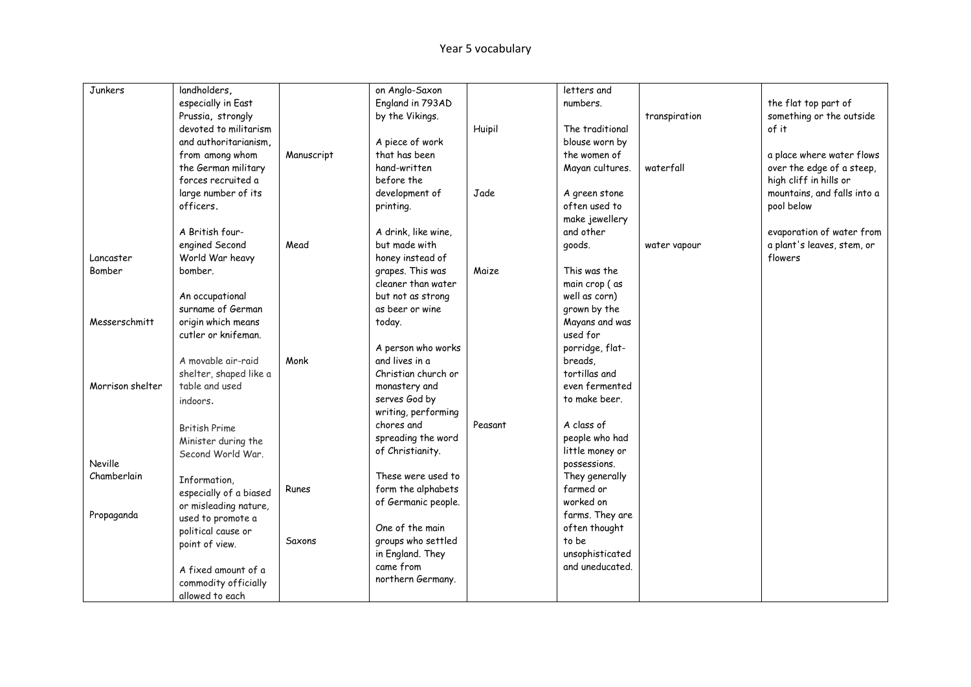| Junkers          | landholders,           |            | on Anglo-Saxon      |         | letters and     |               |                             |
|------------------|------------------------|------------|---------------------|---------|-----------------|---------------|-----------------------------|
|                  | especially in East     |            | England in 793AD    |         | numbers.        |               | the flat top part of        |
|                  | Prussia, strongly      |            | by the Vikings.     |         |                 | transpiration | something or the outside    |
|                  | devoted to militarism  |            |                     | Huipil  | The traditional |               | of it                       |
|                  | and authoritarianism.  |            | A piece of work     |         | blouse worn by  |               |                             |
|                  | from among whom        | Manuscript | that has been       |         | the women of    |               | a place where water flows   |
|                  | the German military    |            | hand-written        |         | Mayan cultures. | waterfall     | over the edge of a steep,   |
|                  | forces recruited a     |            | before the          |         |                 |               | high cliff in hills or      |
|                  | large number of its    |            | development of      | Jade    | A green stone   |               | mountains, and falls into a |
|                  | officers.              |            | printing.           |         | often used to   |               | pool below                  |
|                  |                        |            |                     |         | make jewellery  |               |                             |
|                  | A British four-        |            | A drink, like wine, |         | and other       |               | evaporation of water from   |
|                  | engined Second         | Mead       | but made with       |         | goods.          | water vapour  | a plant's leaves, stem, or  |
| Lancaster        | World War heavy        |            | honey instead of    |         |                 |               | flowers                     |
| Bomber           | bomber.                |            | grapes. This was    | Maize   | This was the    |               |                             |
|                  |                        |            | cleaner than water  |         | main crop (as   |               |                             |
|                  | An occupational        |            | but not as strong   |         | well as corn)   |               |                             |
|                  | surname of German      |            | as beer or wine     |         | grown by the    |               |                             |
| Messerschmitt    | origin which means     |            | today.              |         | Mayans and was  |               |                             |
|                  | cutler or knifeman.    |            |                     |         | used for        |               |                             |
|                  |                        |            | A person who works  |         | porridge, flat- |               |                             |
|                  | A movable air-raid     | Monk       | and lives in a      |         | breads,         |               |                             |
|                  | shelter, shaped like a |            | Christian church or |         | tortillas and   |               |                             |
| Morrison shelter | table and used         |            | monastery and       |         | even fermented  |               |                             |
|                  | indoors.               |            | serves God by       |         | to make beer.   |               |                             |
|                  |                        |            | writing, performing |         |                 |               |                             |
|                  | <b>British Prime</b>   |            | chores and          | Peasant | A class of      |               |                             |
|                  | Minister during the    |            | spreading the word  |         | people who had  |               |                             |
|                  | Second World War.      |            | of Christianity.    |         | little money or |               |                             |
| Neville          |                        |            |                     |         | possessions.    |               |                             |
| Chamberlain      | Information,           |            | These were used to  |         | They generally  |               |                             |
|                  | especially of a biased | Runes      | form the alphabets  |         | farmed or       |               |                             |
|                  | or misleading nature,  |            | of Germanic people. |         | worked on       |               |                             |
| Propaganda       | used to promote a      |            |                     |         | farms. They are |               |                             |
|                  | political cause or     |            | One of the main     |         | often thought   |               |                             |
|                  | point of view.         | Saxons     | groups who settled  |         | to be           |               |                             |
|                  |                        |            | in England. They    |         | unsophisticated |               |                             |
|                  | A fixed amount of a    |            | came from           |         | and uneducated. |               |                             |
|                  | commodity officially   |            | northern Germany.   |         |                 |               |                             |
|                  | allowed to each        |            |                     |         |                 |               |                             |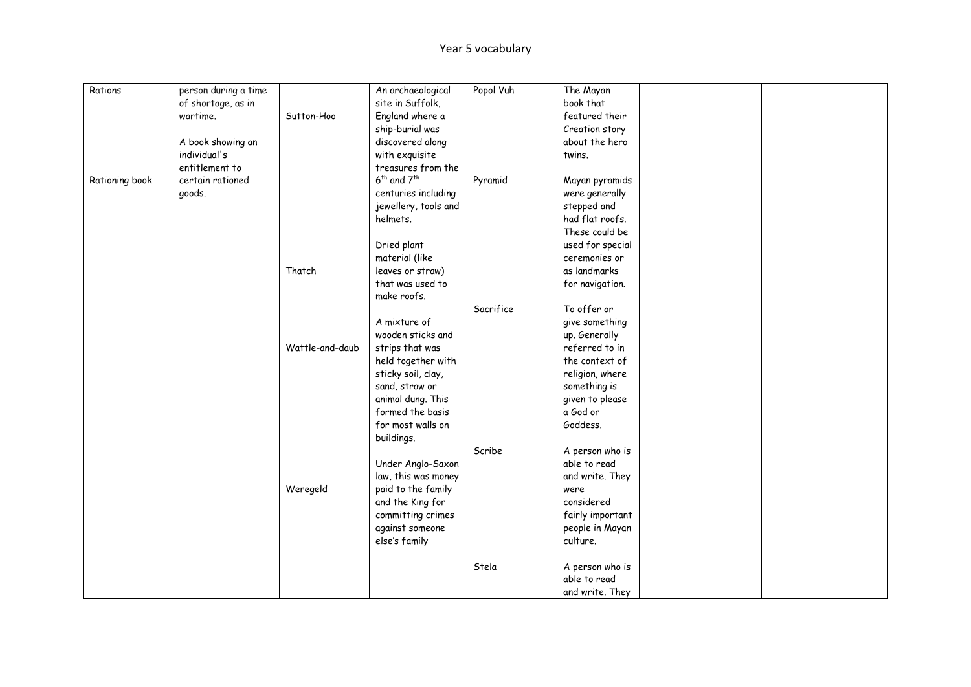| Rations        | person during a time |                 | An archaeological                   | Popol Vuh | The Mayan        |  |
|----------------|----------------------|-----------------|-------------------------------------|-----------|------------------|--|
|                | of shortage, as in   |                 | site in Suffolk,                    |           | book that        |  |
|                | wartime.             | Sutton-Hoo      | England where a                     |           | featured their   |  |
|                |                      |                 | ship-burial was                     |           | Creation story   |  |
|                | A book showing an    |                 | discovered along                    |           | about the hero   |  |
|                | individual's         |                 | with exquisite                      |           | twins.           |  |
|                | entitlement to       |                 | treasures from the                  |           |                  |  |
| Rationing book | certain rationed     |                 | 6 <sup>th</sup> and 7 <sup>th</sup> | Pyramid   | Mayan pyramids   |  |
|                | goods.               |                 | centuries including                 |           | were generally   |  |
|                |                      |                 | jewellery, tools and                |           | stepped and      |  |
|                |                      |                 | helmets.                            |           | had flat roofs.  |  |
|                |                      |                 |                                     |           | These could be   |  |
|                |                      |                 | Dried plant                         |           | used for special |  |
|                |                      |                 | material (like                      |           | ceremonies or    |  |
|                |                      | Thatch          | leaves or straw)                    |           | as landmarks     |  |
|                |                      |                 | that was used to                    |           | for navigation.  |  |
|                |                      |                 | make roofs.                         |           |                  |  |
|                |                      |                 |                                     | Sacrifice | To offer or      |  |
|                |                      |                 | A mixture of                        |           | give something   |  |
|                |                      |                 | wooden sticks and                   |           | up. Generally    |  |
|                |                      | Wattle-and-daub | strips that was                     |           | referred to in   |  |
|                |                      |                 | held together with                  |           | the context of   |  |
|                |                      |                 | sticky soil, clay,                  |           | religion, where  |  |
|                |                      |                 | sand, straw or                      |           | something is     |  |
|                |                      |                 | animal dung. This                   |           | given to please  |  |
|                |                      |                 | formed the basis                    |           | a God or         |  |
|                |                      |                 | for most walls on                   |           | Goddess.         |  |
|                |                      |                 | buildings.                          |           |                  |  |
|                |                      |                 |                                     | Scribe    | A person who is  |  |
|                |                      |                 | Under Anglo-Saxon                   |           | able to read     |  |
|                |                      |                 | law, this was money                 |           | and write. They  |  |
|                |                      | Weregeld        | paid to the family                  |           | were             |  |
|                |                      |                 | and the King for                    |           | considered       |  |
|                |                      |                 | committing crimes                   |           | fairly important |  |
|                |                      |                 | against someone                     |           | people in Mayan  |  |
|                |                      |                 | else's family                       |           | culture.         |  |
|                |                      |                 |                                     |           |                  |  |
|                |                      |                 |                                     | Stela     | A person who is  |  |
|                |                      |                 |                                     |           | able to read     |  |
|                |                      |                 |                                     |           | and write. They  |  |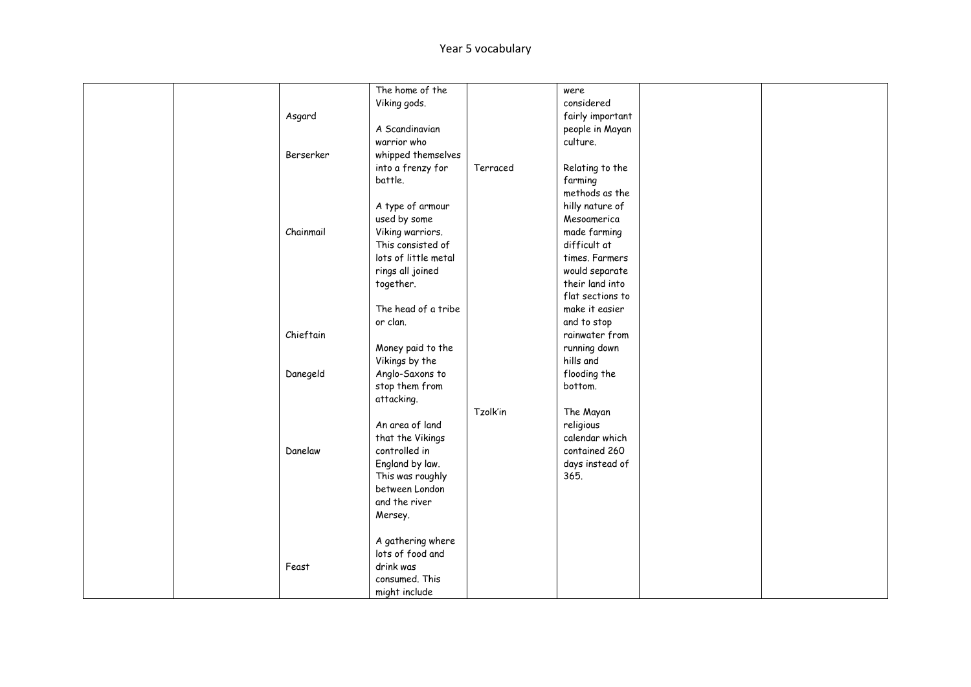|  |           | The home of the      |          | were             |  |
|--|-----------|----------------------|----------|------------------|--|
|  |           | Viking gods.         |          | considered       |  |
|  | Asgard    |                      |          | fairly important |  |
|  |           | A Scandinavian       |          | people in Mayan  |  |
|  |           | warrior who          |          | culture.         |  |
|  | Berserker | whipped themselves   |          |                  |  |
|  |           | into a frenzy for    | Terraced | Relating to the  |  |
|  |           | battle.              |          | farming          |  |
|  |           |                      |          | methods as the   |  |
|  |           | A type of armour     |          | hilly nature of  |  |
|  |           | used by some         |          | Mesoamerica      |  |
|  | Chainmail | Viking warriors.     |          | made farming     |  |
|  |           | This consisted of    |          | difficult at     |  |
|  |           | lots of little metal |          | times. Farmers   |  |
|  |           | rings all joined     |          | would separate   |  |
|  |           | together.            |          | their land into  |  |
|  |           |                      |          | flat sections to |  |
|  |           | The head of a tribe  |          | make it easier   |  |
|  |           | or clan.             |          | and to stop      |  |
|  | Chieftain |                      |          | rainwater from   |  |
|  |           | Money paid to the    |          | running down     |  |
|  |           | Vikings by the       |          | hills and        |  |
|  | Danegeld  | Anglo-Saxons to      |          | flooding the     |  |
|  |           | stop them from       |          | bottom.          |  |
|  |           | attacking.           |          |                  |  |
|  |           |                      | Tzolk'in | The Mayan        |  |
|  |           | An area of land      |          | religious        |  |
|  |           | that the Vikings     |          | calendar which   |  |
|  | Danelaw   | controlled in        |          | contained 260    |  |
|  |           | England by law.      |          | days instead of  |  |
|  |           | This was roughly     |          | 365.             |  |
|  |           | between London       |          |                  |  |
|  |           | and the river        |          |                  |  |
|  |           | Mersey.              |          |                  |  |
|  |           |                      |          |                  |  |
|  |           | A gathering where    |          |                  |  |
|  |           | lots of food and     |          |                  |  |
|  | Feast     | drink was            |          |                  |  |
|  |           | consumed. This       |          |                  |  |
|  |           | might include        |          |                  |  |
|  |           |                      |          |                  |  |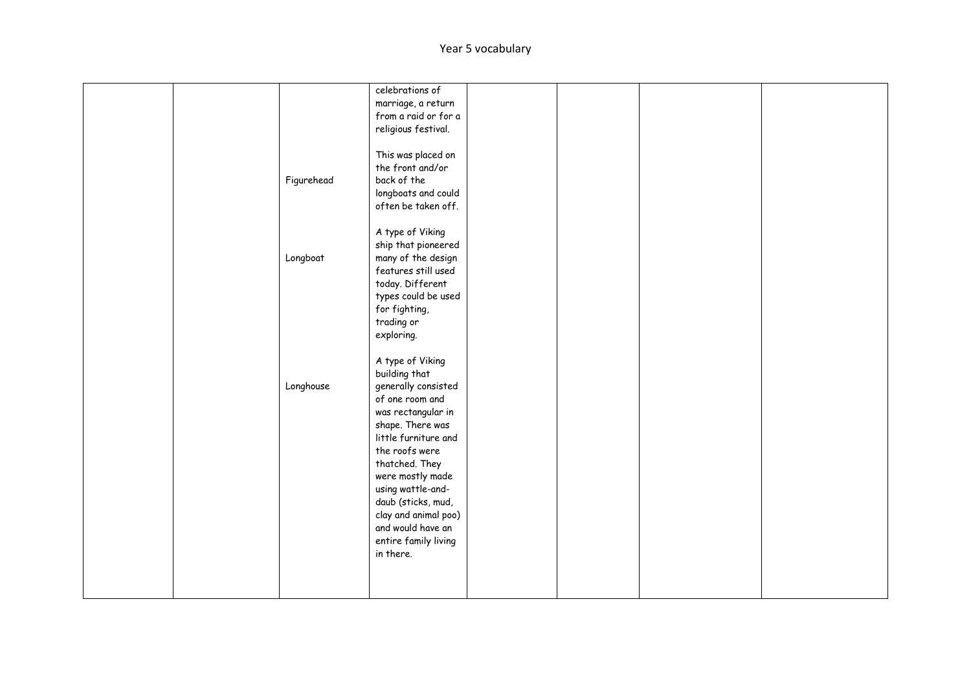|  |            | celebrations of      |  |  |
|--|------------|----------------------|--|--|
|  |            | marriage, a return   |  |  |
|  |            | from a raid or for a |  |  |
|  |            | religious festival.  |  |  |
|  |            |                      |  |  |
|  |            |                      |  |  |
|  |            | This was placed on   |  |  |
|  |            | the front and/or     |  |  |
|  | Figurehead | back of the          |  |  |
|  |            | longboats and could  |  |  |
|  |            | often be taken off.  |  |  |
|  |            |                      |  |  |
|  |            | A type of Viking     |  |  |
|  |            | ship that pioneered  |  |  |
|  | Longboat   | many of the design   |  |  |
|  |            | features still used  |  |  |
|  |            | today. Different     |  |  |
|  |            |                      |  |  |
|  |            | types could be used  |  |  |
|  |            | for fighting,        |  |  |
|  |            | trading or           |  |  |
|  |            | exploring.           |  |  |
|  |            |                      |  |  |
|  |            | A type of Viking     |  |  |
|  |            | building that        |  |  |
|  | Longhouse  | generally consisted  |  |  |
|  |            | of one room and      |  |  |
|  |            | was rectangular in   |  |  |
|  |            | shape. There was     |  |  |
|  |            | little furniture and |  |  |
|  |            | the roofs were       |  |  |
|  |            |                      |  |  |
|  |            | thatched. They       |  |  |
|  |            | were mostly made     |  |  |
|  |            | using wattle-and-    |  |  |
|  |            | daub (sticks, mud,   |  |  |
|  |            | clay and animal poo) |  |  |
|  |            | and would have an    |  |  |
|  |            | entire family living |  |  |
|  |            | in there.            |  |  |
|  |            |                      |  |  |
|  |            |                      |  |  |
|  |            |                      |  |  |
|  |            |                      |  |  |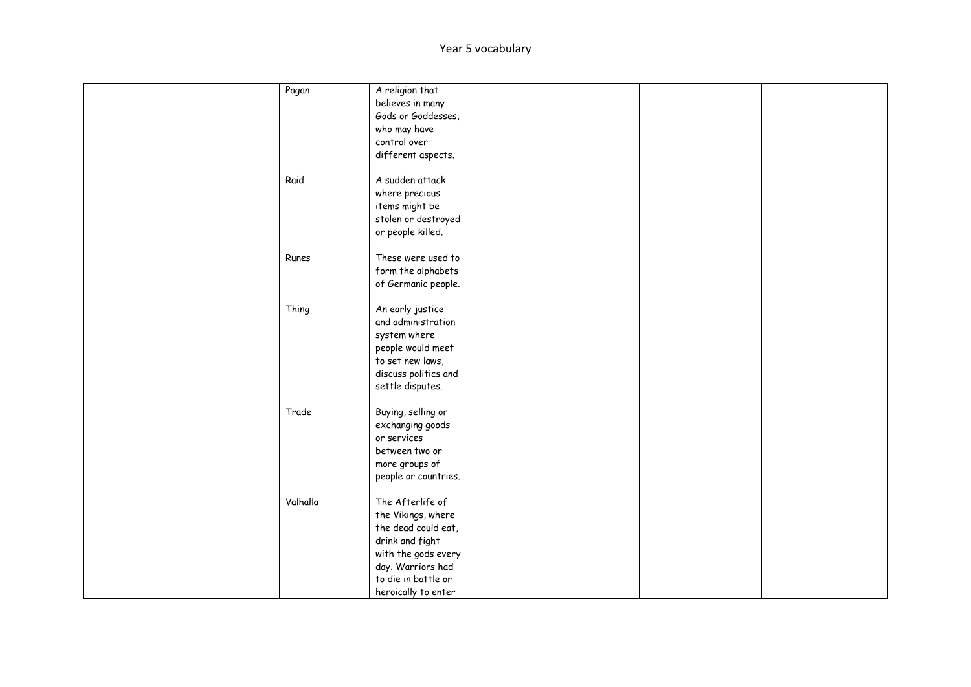|  | Pagan    | A religion that      |  |  |
|--|----------|----------------------|--|--|
|  |          | believes in many     |  |  |
|  |          | Gods or Goddesses,   |  |  |
|  |          | who may have         |  |  |
|  |          | control over         |  |  |
|  |          | different aspects.   |  |  |
|  |          |                      |  |  |
|  | Raid     | A sudden attack      |  |  |
|  |          | where precious       |  |  |
|  |          | items might be       |  |  |
|  |          |                      |  |  |
|  |          | stolen or destroyed  |  |  |
|  |          | or people killed.    |  |  |
|  |          |                      |  |  |
|  | Runes    | These were used to   |  |  |
|  |          | form the alphabets   |  |  |
|  |          | of Germanic people.  |  |  |
|  |          |                      |  |  |
|  | Thing    | An early justice     |  |  |
|  |          | and administration   |  |  |
|  |          | system where         |  |  |
|  |          | people would meet    |  |  |
|  |          | to set new laws,     |  |  |
|  |          | discuss politics and |  |  |
|  |          | settle disputes.     |  |  |
|  |          |                      |  |  |
|  | Trade    | Buying, selling or   |  |  |
|  |          | exchanging goods     |  |  |
|  |          | or services          |  |  |
|  |          | between two or       |  |  |
|  |          | more groups of       |  |  |
|  |          | people or countries. |  |  |
|  |          |                      |  |  |
|  | Valhalla | The Afterlife of     |  |  |
|  |          | the Vikings, where   |  |  |
|  |          | the dead could eat,  |  |  |
|  |          | drink and fight      |  |  |
|  |          | with the gods every  |  |  |
|  |          | day. Warriors had    |  |  |
|  |          | to die in battle or  |  |  |
|  |          | heroically to enter  |  |  |
|  |          |                      |  |  |